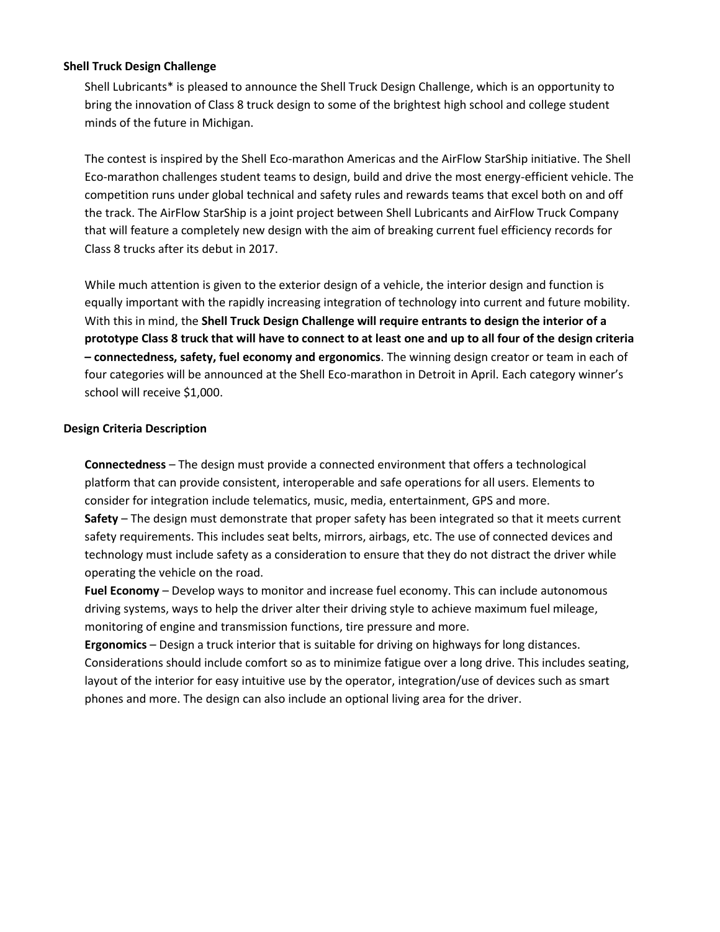### **Shell Truck Design Challenge**

Shell Lubricants\* is pleased to announce the Shell Truck Design Challenge, which is an opportunity to bring the innovation of Class 8 truck design to some of the brightest high school and college student minds of the future in Michigan.

The contest is inspired by the Shell Eco-marathon Americas and the AirFlow StarShip initiative. The Shell Eco-marathon challenges student teams to design, build and drive the most energy-efficient vehicle. The competition runs under global technical and safety rules and rewards teams that excel both on and off the track. The AirFlow StarShip is a joint project between Shell Lubricants and AirFlow Truck Company that will feature a completely new design with the aim of breaking current fuel efficiency records for Class 8 trucks after its debut in 2017.

While much attention is given to the exterior design of a vehicle, the interior design and function is equally important with the rapidly increasing integration of technology into current and future mobility. With this in mind, the **Shell Truck Design Challenge will require entrants to design the interior of a prototype Class 8 truck that will have to connect to at least one and up to all four of the design criteria – connectedness, safety, fuel economy and ergonomics**. The winning design creator or team in each of four categories will be announced at the Shell Eco-marathon in Detroit in April. Each category winner's school will receive \$1,000.

### **Design Criteria Description**

**Connectedness** – The design must provide a connected environment that offers a technological platform that can provide consistent, interoperable and safe operations for all users. Elements to consider for integration include telematics, music, media, entertainment, GPS and more. **Safety** – The design must demonstrate that proper safety has been integrated so that it meets current safety requirements. This includes seat belts, mirrors, airbags, etc. The use of connected devices and technology must include safety as a consideration to ensure that they do not distract the driver while operating the vehicle on the road.

**Fuel Economy** – Develop ways to monitor and increase fuel economy. This can include autonomous driving systems, ways to help the driver alter their driving style to achieve maximum fuel mileage, monitoring of engine and transmission functions, tire pressure and more.

**Ergonomics** – Design a truck interior that is suitable for driving on highways for long distances. Considerations should include comfort so as to minimize fatigue over a long drive. This includes seating, layout of the interior for easy intuitive use by the operator, integration/use of devices such as smart phones and more. The design can also include an optional living area for the driver.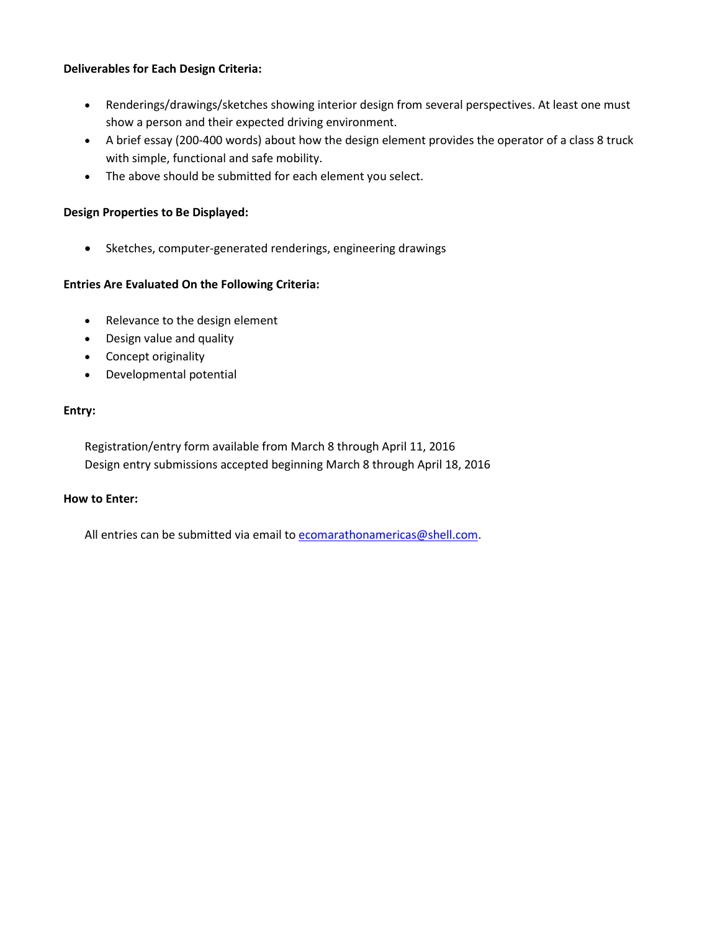## **Deliverables for Each Design Criteria:**

- Renderings/drawings/sketches showing interior design from several perspectives. At least one must show a person and their expected driving environment.
- A brief essay (200-400 words) about how the design element provides the operator of a class 8 truck with simple, functional and safe mobility.
- The above should be submitted for each element you select.

## **Design Properties to Be Displayed:**

• Sketches, computer-generated renderings, engineering drawings

## **Entries Are Evaluated On the Following Criteria:**

- Relevance to the design element
- Design value and quality
- Concept originality
- Developmental potential

### **Entry:**

Registration/entry form available from March 8 through April 11, 2016 Design entry submissions accepted beginning March 8 through April 18, 2016

### **How to Enter:**

All entries can be submitted via email to [ecomarathonamericas@shell.com.](mailto:ecomarathonamericas@shell.com)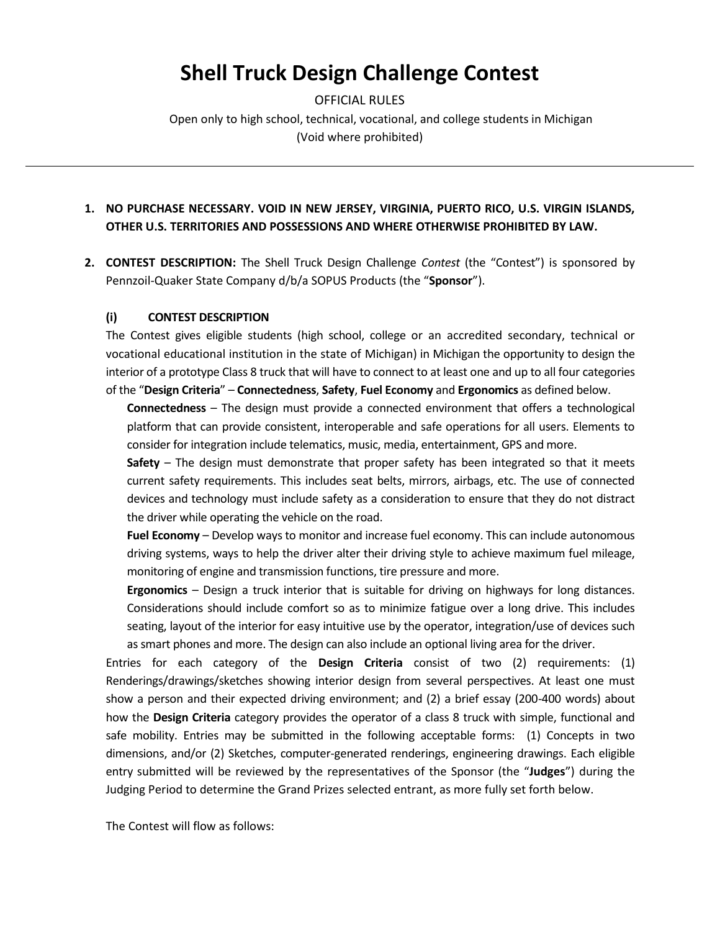# **Shell Truck Design Challenge Contest**

OFFICIAL RULES Open only to high school, technical, vocational, and college students in Michigan (Void where prohibited)

# **1. NO PURCHASE NECESSARY. VOID IN NEW JERSEY, VIRGINIA, PUERTO RICO, U.S. VIRGIN ISLANDS, OTHER U.S. TERRITORIES AND POSSESSIONS AND WHERE OTHERWISE PROHIBITED BY LAW.**

**2. CONTEST DESCRIPTION:** The Shell Truck Design Challenge *Contest* (the "Contest") is sponsored by Pennzoil-Quaker State Company d/b/a SOPUS Products (the "**Sponsor**").

### **(i) CONTEST DESCRIPTION**

The Contest gives eligible students (high school, college or an accredited secondary, technical or vocational educational institution in the state of Michigan) in Michigan the opportunity to design the interior of a prototype Class 8 truck that will have to connect to at least one and up to all four categories of the "**Design Criteria**" – **Connectedness**, **Safety**, **Fuel Economy** and **Ergonomics** as defined below.

**Connectedness** – The design must provide a connected environment that offers a technological platform that can provide consistent, interoperable and safe operations for all users. Elements to consider for integration include telematics, music, media, entertainment, GPS and more.

**Safety** – The design must demonstrate that proper safety has been integrated so that it meets current safety requirements. This includes seat belts, mirrors, airbags, etc. The use of connected devices and technology must include safety as a consideration to ensure that they do not distract the driver while operating the vehicle on the road.

**Fuel Economy** – Develop ways to monitor and increase fuel economy. This can include autonomous driving systems, ways to help the driver alter their driving style to achieve maximum fuel mileage, monitoring of engine and transmission functions, tire pressure and more.

**Ergonomics** – Design a truck interior that is suitable for driving on highways for long distances. Considerations should include comfort so as to minimize fatigue over a long drive. This includes seating, layout of the interior for easy intuitive use by the operator, integration/use of devices such as smart phones and more. The design can also include an optional living area for the driver.

Entries for each category of the **Design Criteria** consist of two (2) requirements: (1) Renderings/drawings/sketches showing interior design from several perspectives. At least one must show a person and their expected driving environment; and (2) a brief essay (200-400 words) about how the **Design Criteria** category provides the operator of a class 8 truck with simple, functional and safe mobility. Entries may be submitted in the following acceptable forms: (1) Concepts in two dimensions, and/or (2) Sketches, computer-generated renderings, engineering drawings. Each eligible entry submitted will be reviewed by the representatives of the Sponsor (the "**Judges**") during the Judging Period to determine the Grand Prizes selected entrant, as more fully set forth below.

The Contest will flow as follows: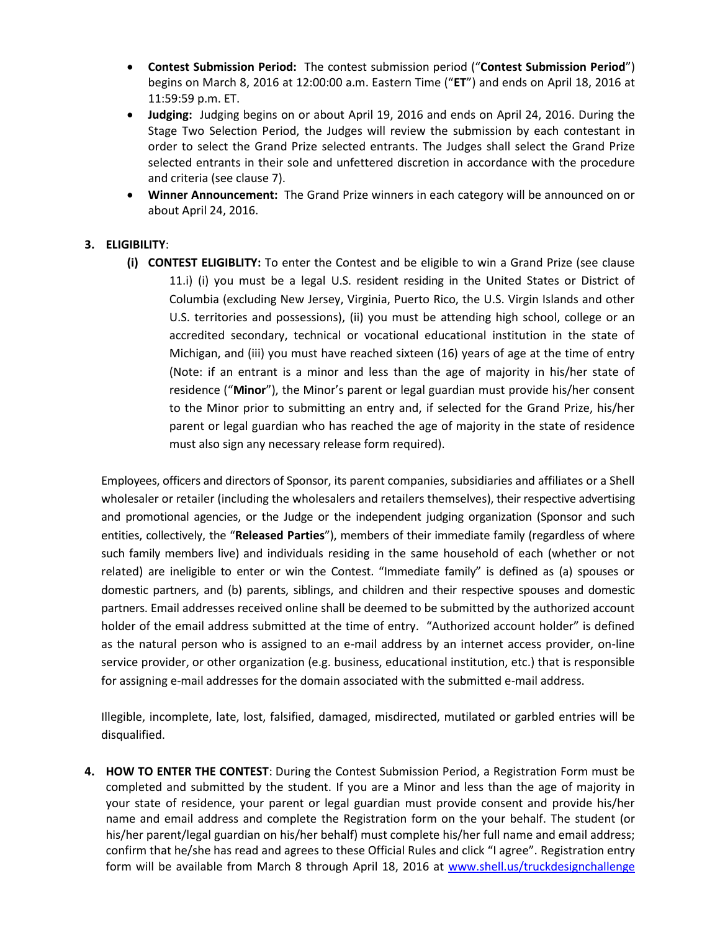- **Contest Submission Period:** The contest submission period ("**Contest Submission Period**") begins on March 8, 2016 at 12:00:00 a.m. Eastern Time ("**ET**") and ends on April 18, 2016 at 11:59:59 p.m. ET.
- **Judging:** Judging begins on or about April 19, 2016 and ends on April 24, 2016. During the Stage Two Selection Period, the Judges will review the submission by each contestant in order to select the Grand Prize selected entrants. The Judges shall select the Grand Prize selected entrants in their sole and unfettered discretion in accordance with the procedure and criteria (see clause 7).
- **Winner Announcement:** The Grand Prize winners in each category will be announced on or about April 24, 2016.

# **3. ELIGIBILITY**:

**(i) CONTEST ELIGIBLITY:** To enter the Contest and be eligible to win a Grand Prize (see clause 11.i) (i) you must be a legal U.S. resident residing in the United States or District of Columbia (excluding New Jersey, Virginia, Puerto Rico, the U.S. Virgin Islands and other U.S. territories and possessions), (ii) you must be attending high school, college or an accredited secondary, technical or vocational educational institution in the state of Michigan, and (iii) you must have reached sixteen (16) years of age at the time of entry (Note: if an entrant is a minor and less than the age of majority in his/her state of residence ("**Minor**"), the Minor's parent or legal guardian must provide his/her consent to the Minor prior to submitting an entry and, if selected for the Grand Prize, his/her parent or legal guardian who has reached the age of majority in the state of residence must also sign any necessary release form required).

Employees, officers and directors of Sponsor, its parent companies, subsidiaries and affiliates or a Shell wholesaler or retailer (including the wholesalers and retailers themselves), their respective advertising and promotional agencies, or the Judge or the independent judging organization (Sponsor and such entities, collectively, the "**Released Parties**"), members of their immediate family (regardless of where such family members live) and individuals residing in the same household of each (whether or not related) are ineligible to enter or win the Contest. "Immediate family" is defined as (a) spouses or domestic partners, and (b) parents, siblings, and children and their respective spouses and domestic partners. Email addresses received online shall be deemed to be submitted by the authorized account holder of the email address submitted at the time of entry. "Authorized account holder" is defined as the natural person who is assigned to an e-mail address by an internet access provider, on-line service provider, or other organization (e.g. business, educational institution, etc.) that is responsible for assigning e-mail addresses for the domain associated with the submitted e-mail address.

Illegible, incomplete, late, lost, falsified, damaged, misdirected, mutilated or garbled entries will be disqualified.

**4. HOW TO ENTER THE CONTEST**: During the Contest Submission Period, a Registration Form must be completed and submitted by the student. If you are a Minor and less than the age of majority in your state of residence, your parent or legal guardian must provide consent and provide his/her name and email address and complete the Registration form on the your behalf. The student (or his/her parent/legal guardian on his/her behalf) must complete his/her full name and email address; confirm that he/she has read and agrees to these Official Rules and click "I agree". Registration entry form will be available from March 8 through April 18, 2016 at [www.shell.us/truckdesignchallenge](http://www.shell.us/truckdesignchallenge)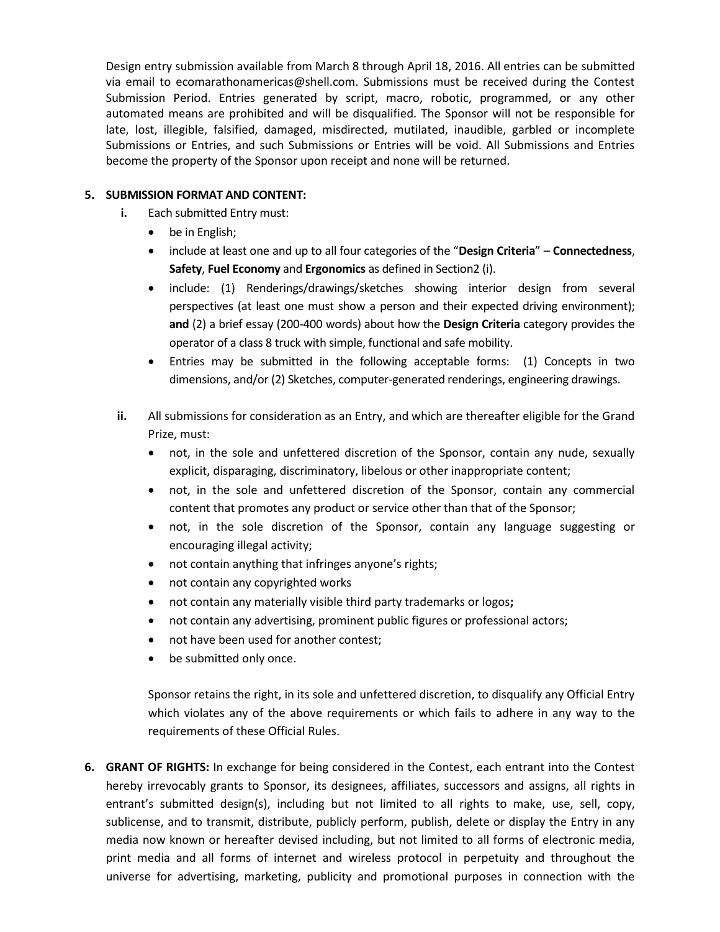Design entry submission available from March 8 through April 18, 2016. All entries can be submitted via email to ecomarathonamericas@shell.com. Submissions must be received during the Contest Submission Period. Entries generated by script, macro, robotic, programmed, or any other automated means are prohibited and will be disqualified. The Sponsor will not be responsible for late, lost, illegible, falsified, damaged, misdirected, mutilated, inaudible, garbled or incomplete Submissions or Entries, and such Submissions or Entries will be void. All Submissions and Entries become the property of the Sponsor upon receipt and none will be returned.

# **5. SUBMISSION FORMAT AND CONTENT:**

- **i.** Each submitted Entry must:
	- be in English;
	- include at least one and up to all four categories of the "**Design Criteria**" **Connectedness**, **Safety**, **Fuel Economy** and **Ergonomics** as defined in Section2 (i).
	- include: (1) Renderings/drawings/sketches showing interior design from several perspectives (at least one must show a person and their expected driving environment); **and** (2) a brief essay (200-400 words) about how the **Design Criteria** category provides the operator of a class 8 truck with simple, functional and safe mobility.
	- Entries may be submitted in the following acceptable forms: (1) Concepts in two dimensions, and/or (2) Sketches, computer-generated renderings, engineering drawings.
- **ii.** All submissions for consideration as an Entry, and which are thereafter eligible for the Grand Prize, must:
	- not, in the sole and unfettered discretion of the Sponsor, contain any nude, sexually explicit, disparaging, discriminatory, libelous or other inappropriate content;
	- not, in the sole and unfettered discretion of the Sponsor, contain any commercial content that promotes any product or service other than that of the Sponsor;
	- not, in the sole discretion of the Sponsor, contain any language suggesting or encouraging illegal activity;
	- not contain anything that infringes anyone's rights;
	- not contain any copyrighted works
	- not contain any materially visible third party trademarks or logos**;**
	- not contain any advertising, prominent public figures or professional actors;
	- not have been used for another contest;
	- be submitted only once.

Sponsor retains the right, in its sole and unfettered discretion, to disqualify any Official Entry which violates any of the above requirements or which fails to adhere in any way to the requirements of these Official Rules.

**6. GRANT OF RIGHTS:** In exchange for being considered in the Contest, each entrant into the Contest hereby irrevocably grants to Sponsor, its designees, affiliates, successors and assigns, all rights in entrant's submitted design(s), including but not limited to all rights to make, use, sell, copy, sublicense, and to transmit, distribute, publicly perform, publish, delete or display the Entry in any media now known or hereafter devised including, but not limited to all forms of electronic media, print media and all forms of internet and wireless protocol in perpetuity and throughout the universe for advertising, marketing, publicity and promotional purposes in connection with the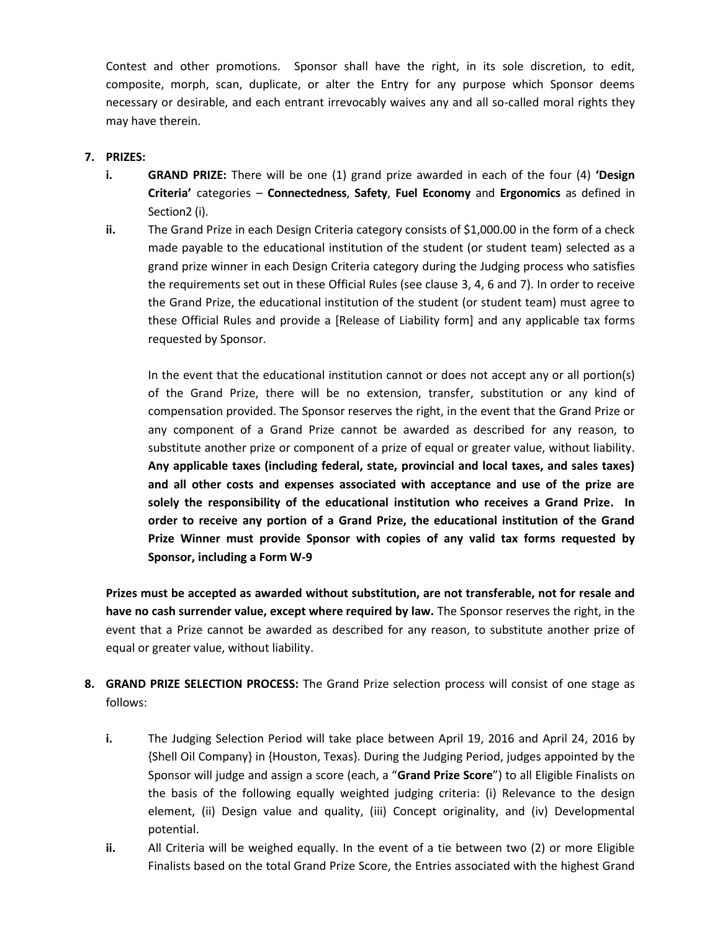Contest and other promotions. Sponsor shall have the right, in its sole discretion, to edit, composite, morph, scan, duplicate, or alter the Entry for any purpose which Sponsor deems necessary or desirable, and each entrant irrevocably waives any and all so-called moral rights they may have therein.

# **7. PRIZES:**

- **i. GRAND PRIZE:** There will be one (1) grand prize awarded in each of the four (4) **'Design Criteria'** categories – **Connectedness**, **Safety**, **Fuel Economy** and **Ergonomics** as defined in Section2 (i).
- **ii.** The Grand Prize in each Design Criteria category consists of \$1,000.00 in the form of a check made payable to the educational institution of the student (or student team) selected as a grand prize winner in each Design Criteria category during the Judging process who satisfies the requirements set out in these Official Rules (see clause 3, 4, 6 and 7). In order to receive the Grand Prize, the educational institution of the student (or student team) must agree to these Official Rules and provide a [Release of Liability form] and any applicable tax forms requested by Sponsor.

In the event that the educational institution cannot or does not accept any or all portion(s) of the Grand Prize, there will be no extension, transfer, substitution or any kind of compensation provided. The Sponsor reserves the right, in the event that the Grand Prize or any component of a Grand Prize cannot be awarded as described for any reason, to substitute another prize or component of a prize of equal or greater value, without liability. **Any applicable taxes (including federal, state, provincial and local taxes, and sales taxes) and all other costs and expenses associated with acceptance and use of the prize are solely the responsibility of the educational institution who receives a Grand Prize. In order to receive any portion of a Grand Prize, the educational institution of the Grand Prize Winner must provide Sponsor with copies of any valid tax forms requested by Sponsor, including a Form W-9**

**Prizes must be accepted as awarded without substitution, are not transferable, not for resale and have no cash surrender value, except where required by law.** The Sponsor reserves the right, in the event that a Prize cannot be awarded as described for any reason, to substitute another prize of equal or greater value, without liability.

- **8. GRAND PRIZE SELECTION PROCESS:** The Grand Prize selection process will consist of one stage as follows:
	- **i.** The Judging Selection Period will take place between April 19, 2016 and April 24, 2016 by {Shell Oil Company} in {Houston, Texas}. During the Judging Period, judges appointed by the Sponsor will judge and assign a score (each, a "**Grand Prize Score**") to all Eligible Finalists on the basis of the following equally weighted judging criteria: (i) Relevance to the design element, (ii) Design value and quality, (iii) Concept originality, and (iv) Developmental potential.
	- **ii.** All Criteria will be weighed equally. In the event of a tie between two (2) or more Eligible Finalists based on the total Grand Prize Score, the Entries associated with the highest Grand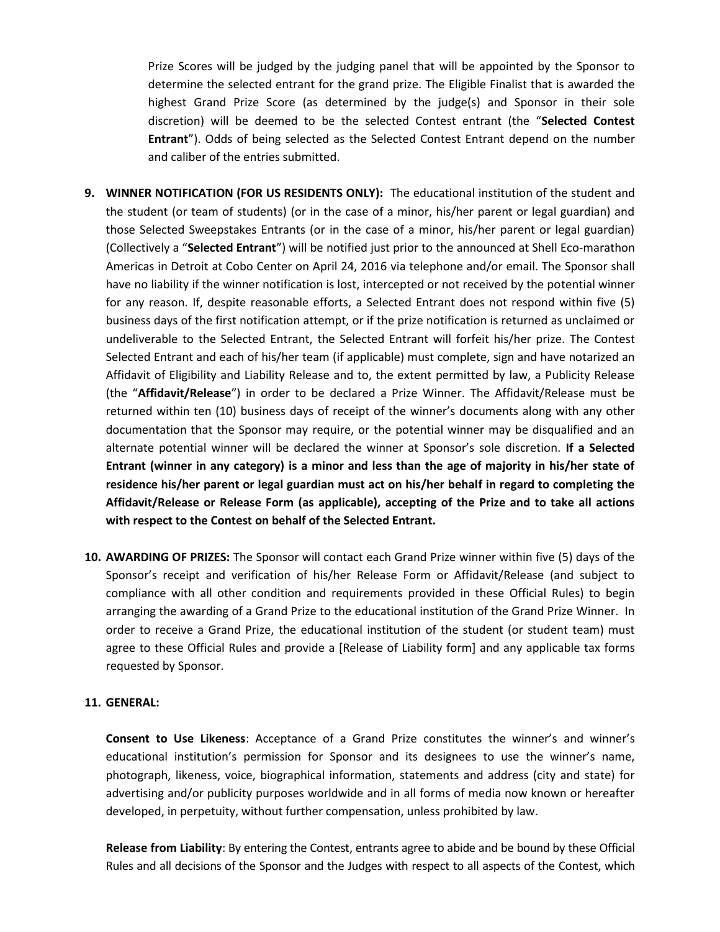Prize Scores will be judged by the judging panel that will be appointed by the Sponsor to determine the selected entrant for the grand prize. The Eligible Finalist that is awarded the highest Grand Prize Score (as determined by the judge(s) and Sponsor in their sole discretion) will be deemed to be the selected Contest entrant (the "**Selected Contest Entrant**"). Odds of being selected as the Selected Contest Entrant depend on the number and caliber of the entries submitted.

- **9. WINNER NOTIFICATION (FOR US RESIDENTS ONLY):** The educational institution of the student and the student (or team of students) (or in the case of a minor, his/her parent or legal guardian) and those Selected Sweepstakes Entrants (or in the case of a minor, his/her parent or legal guardian) (Collectively a "**Selected Entrant**") will be notified just prior to the announced at Shell Eco-marathon Americas in Detroit at Cobo Center on April 24, 2016 via telephone and/or email. The Sponsor shall have no liability if the winner notification is lost, intercepted or not received by the potential winner for any reason. If, despite reasonable efforts, a Selected Entrant does not respond within five (5) business days of the first notification attempt, or if the prize notification is returned as unclaimed or undeliverable to the Selected Entrant, the Selected Entrant will forfeit his/her prize. The Contest Selected Entrant and each of his/her team (if applicable) must complete, sign and have notarized an Affidavit of Eligibility and Liability Release and to, the extent permitted by law, a Publicity Release (the "**Affidavit/Release**") in order to be declared a Prize Winner. The Affidavit/Release must be returned within ten (10) business days of receipt of the winner's documents along with any other documentation that the Sponsor may require, or the potential winner may be disqualified and an alternate potential winner will be declared the winner at Sponsor's sole discretion. **If a Selected Entrant (winner in any category) is a minor and less than the age of majority in his/her state of residence his/her parent or legal guardian must act on his/her behalf in regard to completing the Affidavit/Release or Release Form (as applicable), accepting of the Prize and to take all actions with respect to the Contest on behalf of the Selected Entrant.**
- **10. AWARDING OF PRIZES:** The Sponsor will contact each Grand Prize winner within five (5) days of the Sponsor's receipt and verification of his/her Release Form or Affidavit/Release (and subject to compliance with all other condition and requirements provided in these Official Rules) to begin arranging the awarding of a Grand Prize to the educational institution of the Grand Prize Winner. In order to receive a Grand Prize, the educational institution of the student (or student team) must agree to these Official Rules and provide a [Release of Liability form] and any applicable tax forms requested by Sponsor.

#### **11. GENERAL:**

**Consent to Use Likeness**: Acceptance of a Grand Prize constitutes the winner's and winner's educational institution's permission for Sponsor and its designees to use the winner's name, photograph, likeness, voice, biographical information, statements and address (city and state) for advertising and/or publicity purposes worldwide and in all forms of media now known or hereafter developed, in perpetuity, without further compensation, unless prohibited by law.

**Release from Liability**: By entering the Contest, entrants agree to abide and be bound by these Official Rules and all decisions of the Sponsor and the Judges with respect to all aspects of the Contest, which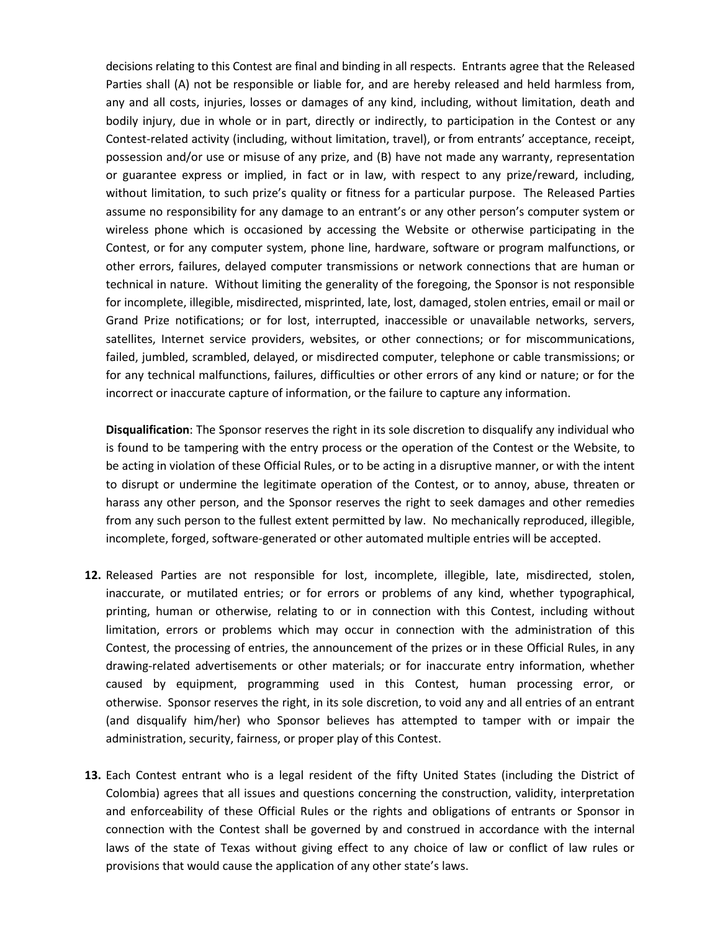decisions relating to this Contest are final and binding in all respects. Entrants agree that the Released Parties shall (A) not be responsible or liable for, and are hereby released and held harmless from, any and all costs, injuries, losses or damages of any kind, including, without limitation, death and bodily injury, due in whole or in part, directly or indirectly, to participation in the Contest or any Contest-related activity (including, without limitation, travel), or from entrants' acceptance, receipt, possession and/or use or misuse of any prize, and (B) have not made any warranty, representation or guarantee express or implied, in fact or in law, with respect to any prize/reward, including, without limitation, to such prize's quality or fitness for a particular purpose. The Released Parties assume no responsibility for any damage to an entrant's or any other person's computer system or wireless phone which is occasioned by accessing the Website or otherwise participating in the Contest, or for any computer system, phone line, hardware, software or program malfunctions, or other errors, failures, delayed computer transmissions or network connections that are human or technical in nature. Without limiting the generality of the foregoing, the Sponsor is not responsible for incomplete, illegible, misdirected, misprinted, late, lost, damaged, stolen entries, email or mail or Grand Prize notifications; or for lost, interrupted, inaccessible or unavailable networks, servers, satellites, Internet service providers, websites, or other connections; or for miscommunications, failed, jumbled, scrambled, delayed, or misdirected computer, telephone or cable transmissions; or for any technical malfunctions, failures, difficulties or other errors of any kind or nature; or for the incorrect or inaccurate capture of information, or the failure to capture any information.

**Disqualification**: The Sponsor reserves the right in its sole discretion to disqualify any individual who is found to be tampering with the entry process or the operation of the Contest or the Website, to be acting in violation of these Official Rules, or to be acting in a disruptive manner, or with the intent to disrupt or undermine the legitimate operation of the Contest, or to annoy, abuse, threaten or harass any other person, and the Sponsor reserves the right to seek damages and other remedies from any such person to the fullest extent permitted by law. No mechanically reproduced, illegible, incomplete, forged, software-generated or other automated multiple entries will be accepted.

- **12.** Released Parties are not responsible for lost, incomplete, illegible, late, misdirected, stolen, inaccurate, or mutilated entries; or for errors or problems of any kind, whether typographical, printing, human or otherwise, relating to or in connection with this Contest, including without limitation, errors or problems which may occur in connection with the administration of this Contest, the processing of entries, the announcement of the prizes or in these Official Rules, in any drawing-related advertisements or other materials; or for inaccurate entry information, whether caused by equipment, programming used in this Contest, human processing error, or otherwise. Sponsor reserves the right, in its sole discretion, to void any and all entries of an entrant (and disqualify him/her) who Sponsor believes has attempted to tamper with or impair the administration, security, fairness, or proper play of this Contest.
- **13.** Each Contest entrant who is a legal resident of the fifty United States (including the District of Colombia) agrees that all issues and questions concerning the construction, validity, interpretation and enforceability of these Official Rules or the rights and obligations of entrants or Sponsor in connection with the Contest shall be governed by and construed in accordance with the internal laws of the state of Texas without giving effect to any choice of law or conflict of law rules or provisions that would cause the application of any other state's laws.